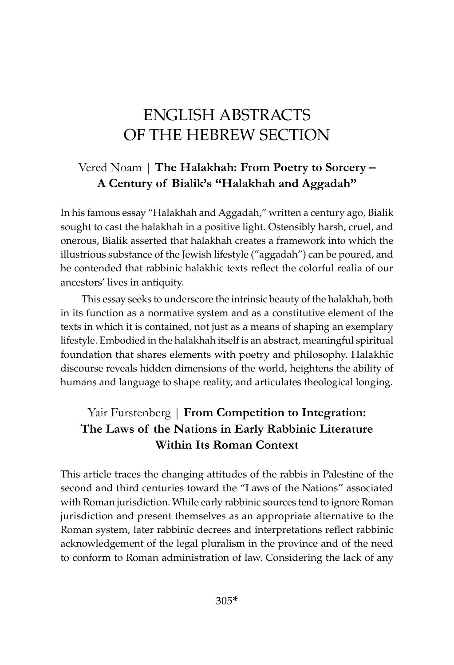# ENGLISH ABSTRACTS OF THE HEBREW SECTION

## Vered Noam | **The Halakhah: From Poetry to Sorcery – A Century of Bialik's "Halakhah and Aggadah"**

In his famous essay "Halakhah and Aggadah," written a century ago, Bialik sought to cast the halakhah in a positive light. Ostensibly harsh, cruel, and onerous, Bialik asserted that halakhah creates a framework into which the illustrious substance of the Jewish lifestyle ("aggadah") can be poured, and he contended that rabbinic halakhic texts reflect the colorful realia of our ancestors' lives in antiquity.

This essay seeks to underscore the intrinsic beauty of the halakhah, both in its function as a normative system and as a constitutive element of the texts in which it is contained, not just as a means of shaping an exemplary lifestyle. Embodied in the halakhah itself is an abstract, meaningful spiritual foundation that shares elements with poetry and philosophy. Halakhic discourse reveals hidden dimensions of the world, heightens the ability of humans and language to shape reality, and articulates theological longing.

## Yair Furstenberg | **From Competition to Integration: The Laws of the Nations in Early Rabbinic Literature Within Its Roman Context**

This article traces the changing attitudes of the rabbis in Palestine of the second and third centuries toward the "Laws of the Nations" associated with Roman jurisdiction. While early rabbinic sources tend to ignore Roman jurisdiction and present themselves as an appropriate alternative to the Roman system, later rabbinic decrees and interpretations reflect rabbinic acknowledgement of the legal pluralism in the province and of the need to conform to Roman administration of law. Considering the lack of any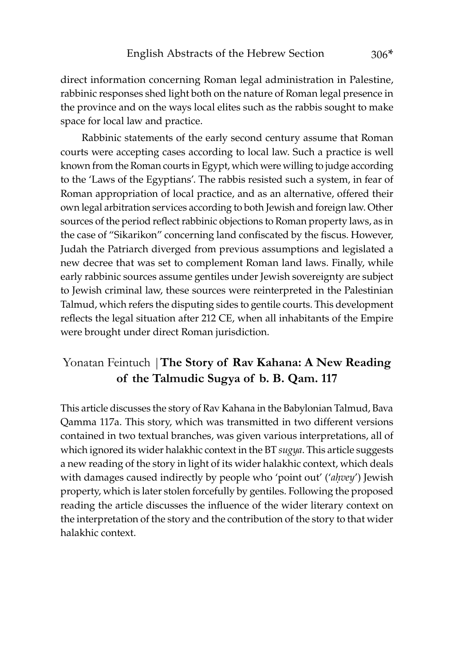direct information concerning Roman legal administration in Palestine, rabbinic responses shed light both on the nature of Roman legal presence in the province and on the ways local elites such as the rabbis sought to make space for local law and practice.

Rabbinic statements of the early second century assume that Roman courts were accepting cases according to local law. Such a practice is well known from the Roman courts in Egypt, which were willing to judge according to the 'Laws of the Egyptians'. The rabbis resisted such a system, in fear of Roman appropriation of local practice, and as an alternative, offered their own legal arbitration services according to both Jewish and foreign law. Other sources of the period reflect rabbinic objections to Roman property laws, as in the case of "Sikarikon" concerning land confiscated by the fiscus. However, Judah the Patriarch diverged from previous assumptions and legislated a new decree that was set to complement Roman land laws. Finally, while early rabbinic sources assume gentiles under Jewish sovereignty are subject to Jewish criminal law, these sources were reinterpreted in the Palestinian Talmud, which refers the disputing sides to gentile courts. This development reflects the legal situation after 212 CE, when all inhabitants of the Empire were brought under direct Roman jurisdiction.

### Yonatan Feintuch |**The Story of Rav Kahana: A New Reading of the Talmudic Sugya of b. B. Qam. 117**

This article discusses the story of Rav Kahana in the Babylonian Talmud, Bava Qamma 117a. This story, which was transmitted in two different versions contained in two textual branches, was given various interpretations, all of which ignored its wider halakhic context in the BT *sugya*. This article suggests a new reading of the story in light of its wider halakhic context, which deals with damages caused indirectly by people who 'point out' ('*aḥvey*') Jewish property, which is later stolen forcefully by gentiles. Following the proposed reading the article discusses the influence of the wider literary context on the interpretation of the story and the contribution of the story to that wider halakhic context.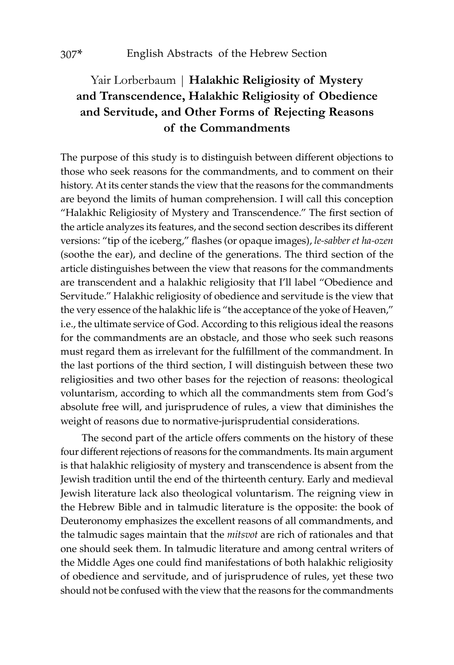## Yair Lorberbaum | **Halakhic Religiosity of Mystery and Transcendence, Halakhic Religiosity of Obedience and Servitude, and Other Forms of Rejecting Reasons of the Commandments**

The purpose of this study is to distinguish between different objections to those who seek reasons for the commandments, and to comment on their history. At its center stands the view that the reasons for the commandments are beyond the limits of human comprehension. I will call this conception "Halakhic Religiosity of Mystery and Transcendence." The first section of the article analyzes its features, and the second section describes its different versions: "tip of the iceberg," flashes (or opaque images), *le-sabber et ha-ozen* (soothe the ear), and decline of the generations. The third section of the article distinguishes between the view that reasons for the commandments are transcendent and a halakhic religiosity that I'll label "Obedience and Servitude." Halakhic religiosity of obedience and servitude is the view that the very essence of the halakhic life is "the acceptance of the yoke of Heaven," i.e., the ultimate service of God. According to this religious ideal the reasons for the commandments are an obstacle, and those who seek such reasons must regard them as irrelevant for the fulfillment of the commandment. In the last portions of the third section, I will distinguish between these two religiosities and two other bases for the rejection of reasons: theological voluntarism, according to which all the commandments stem from God's absolute free will, and jurisprudence of rules, a view that diminishes the weight of reasons due to normative-jurisprudential considerations.

The second part of the article offers comments on the history of these four different rejections of reasons for the commandments. Its main argument is that halakhic religiosity of mystery and transcendence is absent from the Jewish tradition until the end of the thirteenth century. Early and medieval Jewish literature lack also theological voluntarism. The reigning view in the Hebrew Bible and in talmudic literature is the opposite: the book of Deuteronomy emphasizes the excellent reasons of all commandments, and the talmudic sages maintain that the *mitsvot* are rich of rationales and that one should seek them. In talmudic literature and among central writers of the Middle Ages one could find manifestations of both halakhic religiosity of obedience and servitude, and of jurisprudence of rules, yet these two should not be confused with the view that the reasons for the commandments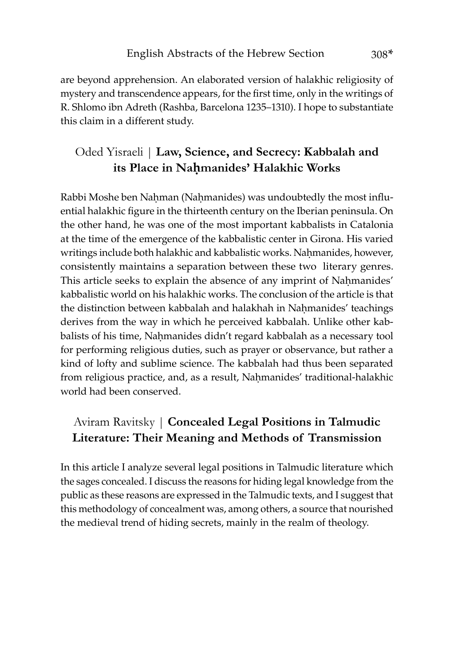are beyond apprehension. An elaborated version of halakhic religiosity of mystery and transcendence appears, for the first time, only in the writings of R. Shlomo ibn Adreth (Rashba, Barcelona 1235–1310). I hope to substantiate this claim in a different study.

## Oded Yisraeli | **Law, Science, and Secrecy: Kabbalah and its Place in Naêmanides' Halakhic Works**

Rabbi Moshe ben Nahman (Nahmanides) was undoubtedly the most influential halakhic figure in the thirteenth century on the Iberian peninsula. On the other hand, he was one of the most important kabbalists in Catalonia at the time of the emergence of the kabbalistic center in Girona. His varied writings include both halakhic and kabbalistic works. Nahmanides, however, consistently maintains a separation between these two literary genres. This article seeks to explain the absence of any imprint of Nahmanides' kabbalistic world on his halakhic works. The conclusion of the article is that the distinction between kabbalah and halakhah in Nahmanides' teachings derives from the way in which he perceived kabbalah. Unlike other kabbalists of his time, Nahmanides didn't regard kabbalah as a necessary tool for performing religious duties, such as prayer or observance, but rather a kind of lofty and sublime science. The kabbalah had thus been separated from religious practice, and, as a result, Naḥmanides' traditional-halakhic world had been conserved.

## Aviram Ravitsky | **Concealed Legal Positions in Talmudic Literature: Their Meaning and Methods of Transmission**

In this article I analyze several legal positions in Talmudic literature which the sages concealed. I discuss the reasons for hiding legal knowledge from the public as these reasons are expressed in the Talmudic texts, and I suggest that this methodology of concealment was, among others, a source that nourished the medieval trend of hiding secrets, mainly in the realm of theology.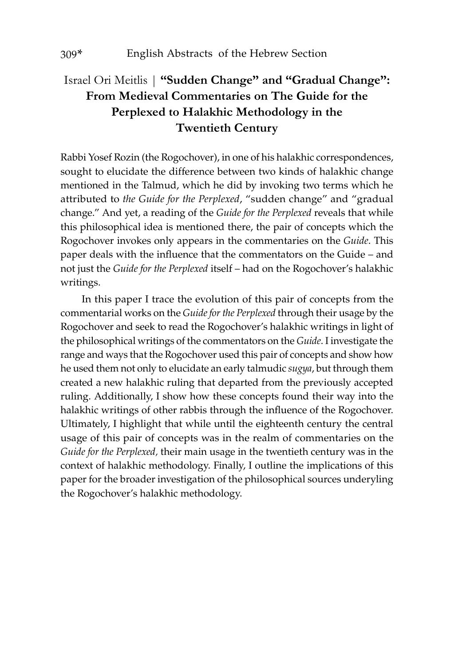# Israel Ori Meitlis | **"Sudden Change" and "Gradual Change": From Medieval Commentaries on The Guide for the Perplexed to Halakhic Methodology in the Twentieth Century**

Rabbi Yosef Rozin (the Rogochover), in one of his halakhic correspondences, sought to elucidate the difference between two kinds of halakhic change mentioned in the Talmud, which he did by invoking two terms which he attributed to *the Guide for the Perplexed*, "sudden change" and "gradual change." And yet, a reading of the *Guide for the Perplexed* reveals that while this philosophical idea is mentioned there, the pair of concepts which the Rogochover invokes only appears in the commentaries on the *Guide*. This paper deals with the influence that the commentators on the Guide – and not just the *Guide for the Perplexed* itself – had on the Rogochover's halakhic writings.

In this paper I trace the evolution of this pair of concepts from the commentarial works on the *Guide for the Perplexed* through their usage by the Rogochover and seek to read the Rogochover's halakhic writings in light of the philosophical writings of the commentators on the *Guide*. I investigate the range and ways that the Rogochover used this pair of concepts and show how he used them not only to elucidate an early talmudic *sugya*, but through them created a new halakhic ruling that departed from the previously accepted ruling. Additionally, I show how these concepts found their way into the halakhic writings of other rabbis through the influence of the Rogochover. Ultimately, I highlight that while until the eighteenth century the central usage of this pair of concepts was in the realm of commentaries on the *Guide for the Perplexed,* their main usage in the twentieth century was in the context of halakhic methodology. Finally, I outline the implications of this paper for the broader investigation of the philosophical sources underyling the Rogochover's halakhic methodology.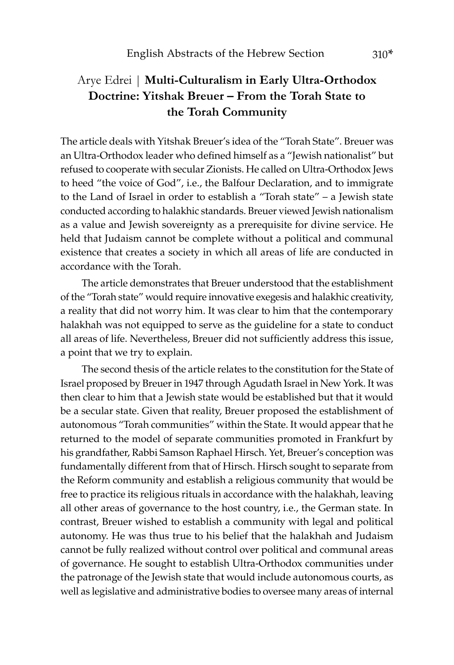## Arye Edrei | **Multi-Culturalism in Early Ultra-Orthodox Doctrine: Yitshak Breuer – From the Torah State to the Torah Community**

The article deals with Yitshak Breuer's idea of the "Torah State". Breuer was an Ultra-Orthodox leader who defined himself as a "Jewish nationalist" but refused to cooperate with secular Zionists. He called on Ultra-Orthodox Jews to heed "the voice of God", i.e., the Balfour Declaration, and to immigrate to the Land of Israel in order to establish a "Torah state" – a Jewish state conducted according to halakhic standards. Breuer viewed Jewish nationalism as a value and Jewish sovereignty as a prerequisite for divine service. He held that Judaism cannot be complete without a political and communal existence that creates a society in which all areas of life are conducted in accordance with the Torah.

The article demonstrates that Breuer understood that the establishment of the "Torah state" would require innovative exegesis and halakhic creativity, a reality that did not worry him. It was clear to him that the contemporary halakhah was not equipped to serve as the guideline for a state to conduct all areas of life. Nevertheless, Breuer did not sufficiently address this issue, a point that we try to explain.

The second thesis of the article relates to the constitution for the State of Israel proposed by Breuer in 1947 through Agudath Israel in New York. It was then clear to him that a Jewish state would be established but that it would be a secular state. Given that reality, Breuer proposed the establishment of autonomous "Torah communities" within the State. It would appear that he returned to the model of separate communities promoted in Frankfurt by his grandfather, Rabbi Samson Raphael Hirsch. Yet, Breuer's conception was fundamentally different from that of Hirsch. Hirsch sought to separate from the Reform community and establish a religious community that would be free to practice its religious rituals in accordance with the halakhah, leaving all other areas of governance to the host country, i.e., the German state. In contrast, Breuer wished to establish a community with legal and political autonomy. He was thus true to his belief that the halakhah and Judaism cannot be fully realized without control over political and communal areas of governance. He sought to establish Ultra-Orthodox communities under the patronage of the Jewish state that would include autonomous courts, as well as legislative and administrative bodies to oversee many areas of internal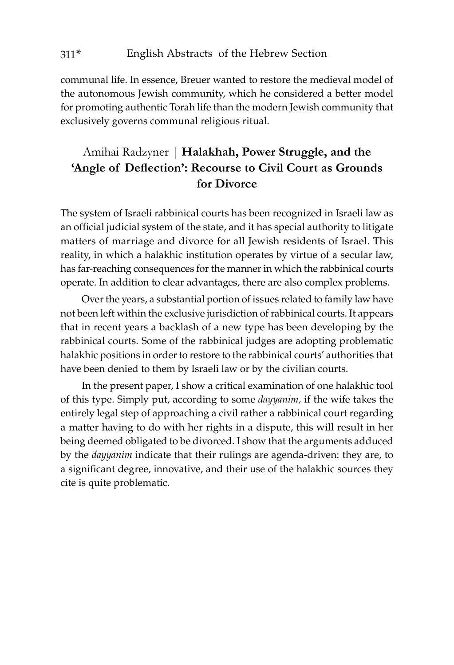communal life. In essence, Breuer wanted to restore the medieval model of the autonomous Jewish community, which he considered a better model for promoting authentic Torah life than the modern Jewish community that exclusively governs communal religious ritual.

## Amihai Radzyner | **Halakhah, Power Struggle, and the 'Angle of Deflection': Recourse to Civil Court as Grounds for Divorce**

The system of Israeli rabbinical courts has been recognized in Israeli law as an official judicial system of the state, and it has special authority to litigate matters of marriage and divorce for all Jewish residents of Israel. This reality, in which a halakhic institution operates by virtue of a secular law, has far-reaching consequences for the manner in which the rabbinical courts operate. In addition to clear advantages, there are also complex problems.

Over the years, a substantial portion of issues related to family law have not been left within the exclusive jurisdiction of rabbinical courts. It appears that in recent years a backlash of a new type has been developing by the rabbinical courts. Some of the rabbinical judges are adopting problematic halakhic positions in order to restore to the rabbinical courts' authorities that have been denied to them by Israeli law or by the civilian courts.

In the present paper, I show a critical examination of one halakhic tool of this type. Simply put, according to some *dayyanim,* if the wife takes the entirely legal step of approaching a civil rather a rabbinical court regarding a matter having to do with her rights in a dispute, this will result in her being deemed obligated to be divorced. I show that the arguments adduced by the *dayyanim* indicate that their rulings are agenda-driven: they are, to a significant degree, innovative, and their use of the halakhic sources they cite is quite problematic.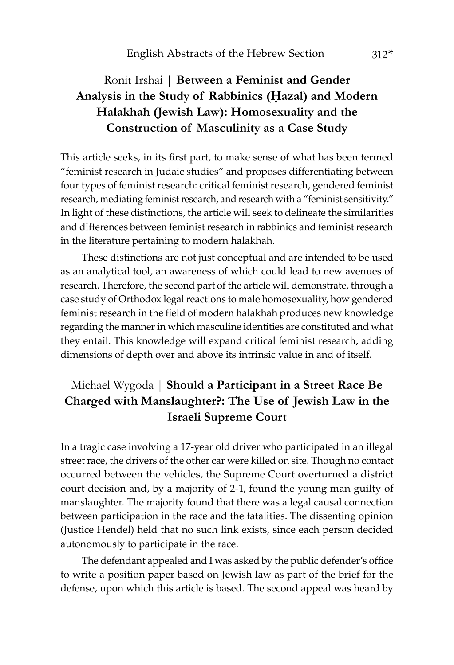# Ronit Irshai **| Between a Feminist and Gender Analysis in the Study of Rabbinics (Êazal) and Modern Halakhah (Jewish Law): Homosexuality and the Construction of Masculinity as a Case Study**

This article seeks, in its first part, to make sense of what has been termed "feminist research in Judaic studies" and proposes differentiating between four types of feminist research: critical feminist research, gendered feminist research, mediating feminist research, and research with a "feminist sensitivity." In light of these distinctions, the article will seek to delineate the similarities and differences between feminist research in rabbinics and feminist research in the literature pertaining to modern halakhah.

These distinctions are not just conceptual and are intended to be used as an analytical tool, an awareness of which could lead to new avenues of research. Therefore, the second part of the article will demonstrate, through a case study of Orthodox legal reactions to male homosexuality, how gendered feminist research in the field of modern halakhah produces new knowledge regarding the manner in which masculine identities are constituted and what they entail. This knowledge will expand critical feminist research, adding dimensions of depth over and above its intrinsic value in and of itself.

## Michael Wygoda | **Should a Participant in a Street Race Be Charged with Manslaughter?: The Use of Jewish Law in the Israeli Supreme Court**

In a tragic case involving a 17-year old driver who participated in an illegal street race, the drivers of the other car were killed on site. Though no contact occurred between the vehicles, the Supreme Court overturned a district court decision and, by a majority of 2-1, found the young man guilty of manslaughter. The majority found that there was a legal causal connection between participation in the race and the fatalities. The dissenting opinion (Justice Hendel) held that no such link exists, since each person decided autonomously to participate in the race.

The defendant appealed and I was asked by the public defender's office to write a position paper based on Jewish law as part of the brief for the defense, upon which this article is based. The second appeal was heard by